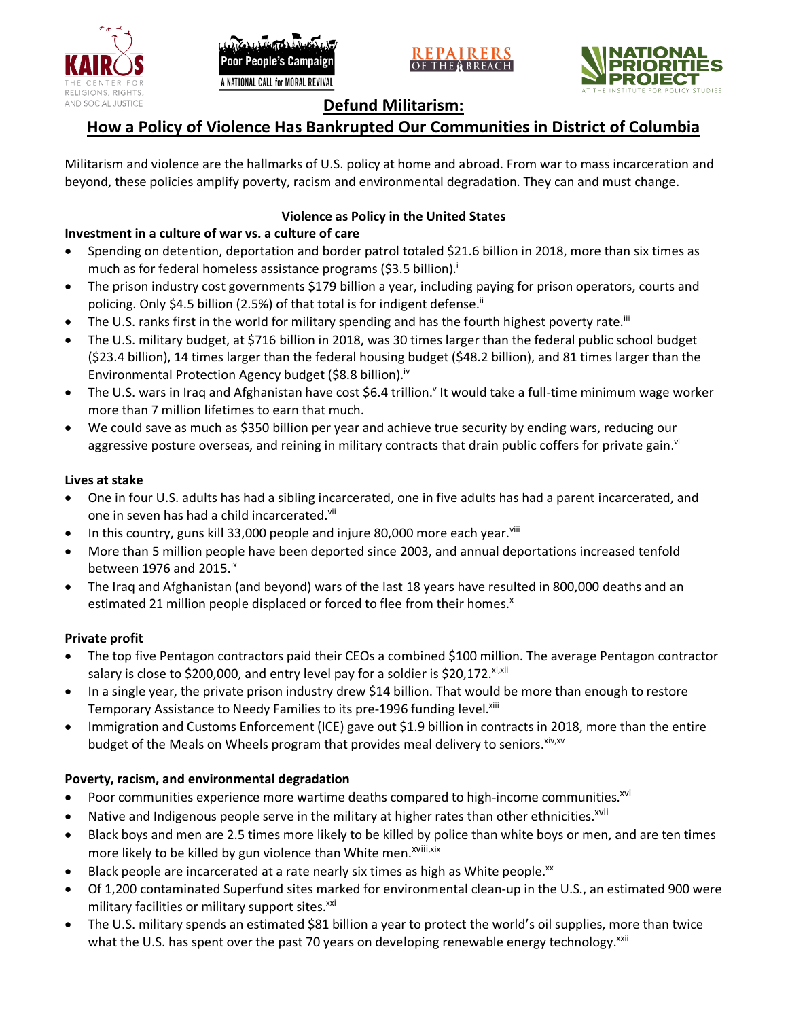





## **Defund Militarism:**

# **How a Policy of Violence Has Bankrupted Our Communities in District of Columbia**

Militarism and violence are the hallmarks of U.S. policy at home and abroad. From war to mass incarceration and beyond, these policies amplify poverty, racism and environmental degradation. They can and must change.

## **Violence as Policy in the United States**

## **Investment in a culture of war vs. a culture of care**

- Spending on detention, deportation and border patrol totaled \$21.6 billion in 2018, more than six times as much as for federal homeless assistance programs (\$3.5 billion).<sup>i</sup>
- The prison industry cost governments \$179 billion a year, including paying for prison operators, courts and policing. Only \$4.5 billion (2.5%) of that total is for indigent defense.<sup>ii</sup>
- The U.S. ranks first in the world for military spending and has the fourth highest poverty rate.<sup>iii</sup>
- The U.S. military budget, at \$716 billion in 2018, was 30 times larger than the federal public school budget (\$23.4 billion), 14 times larger than the federal housing budget (\$48.2 billion), and 81 times larger than the Environmental Protection Agency budget (\$8.8 billion).<sup>iv</sup>
- The U.S. wars in Iraq and Afghanistan have cost \$6.4 trillion.<sup>v</sup> It would take a full-time minimum wage worker more than 7 million lifetimes to earn that much.
- We could save as much as \$350 billion per year and achieve true security by ending wars, reducing our aggressive posture overseas, and reining in military contracts that drain public coffers for private gain.<sup>vi</sup>

#### **Lives at stake**

- One in four U.S. adults has had a sibling incarcerated, one in five adults has had a parent incarcerated, and one in seven has had a child incarcerated.vii
- In this country, guns kill 33,000 people and injure 80,000 more each year. $v_{\text{lin}}$
- More than 5 million people have been deported since 2003, and annual deportations increased tenfold between 1976 and 2015. $\mathrm{i}$ <sup>x</sup>
- The Iraq and Afghanistan (and beyond) wars of the last 18 years have resulted in 800,000 deaths and an estimated 21 million people displaced or forced to flee from their homes.<sup>x</sup>

#### **Private profit**

- The top five Pentagon contractors paid their CEOs a combined \$100 million. The average Pentagon contractor salary is close to \$200,000, and entry level pay for a soldier is \$20,172. xi,xii
- In a single year, the private prison industry drew \$14 billion. That would be more than enough to restore Temporary Assistance to Needy Families to its pre-1996 funding level.<sup>xiii</sup>
- Immigration and Customs Enforcement (ICE) gave out \$1.9 billion in contracts in 2018, more than the entire budget of the Meals on Wheels program that provides meal delivery to seniors. Xiv, XV

#### **Poverty, racism, and environmental degradation**

- Poor communities experience more wartime deaths compared to high-income communities.<sup>xvi</sup>
- Native and Indigenous people serve in the military at higher rates than other ethnicities.<sup>xvii</sup>
- Black boys and men are 2.5 times more likely to be killed by police than white boys or men, and are ten times more likely to be killed by gun violence than White men.<sup>xviii,xix</sup>
- Black people are incarcerated at a rate nearly six times as high as White people.<sup>xx</sup>
- Of 1,200 contaminated Superfund sites marked for environmental clean-up in the U.S., an estimated 900 were military facilities or military support sites.<sup>xxi</sup>
- The U.S. military spends an estimated \$81 billion a year to protect the world's oil supplies, more than twice what the U.S. has spent over the past 70 years on developing renewable energy technology.<sup>xxii</sup>